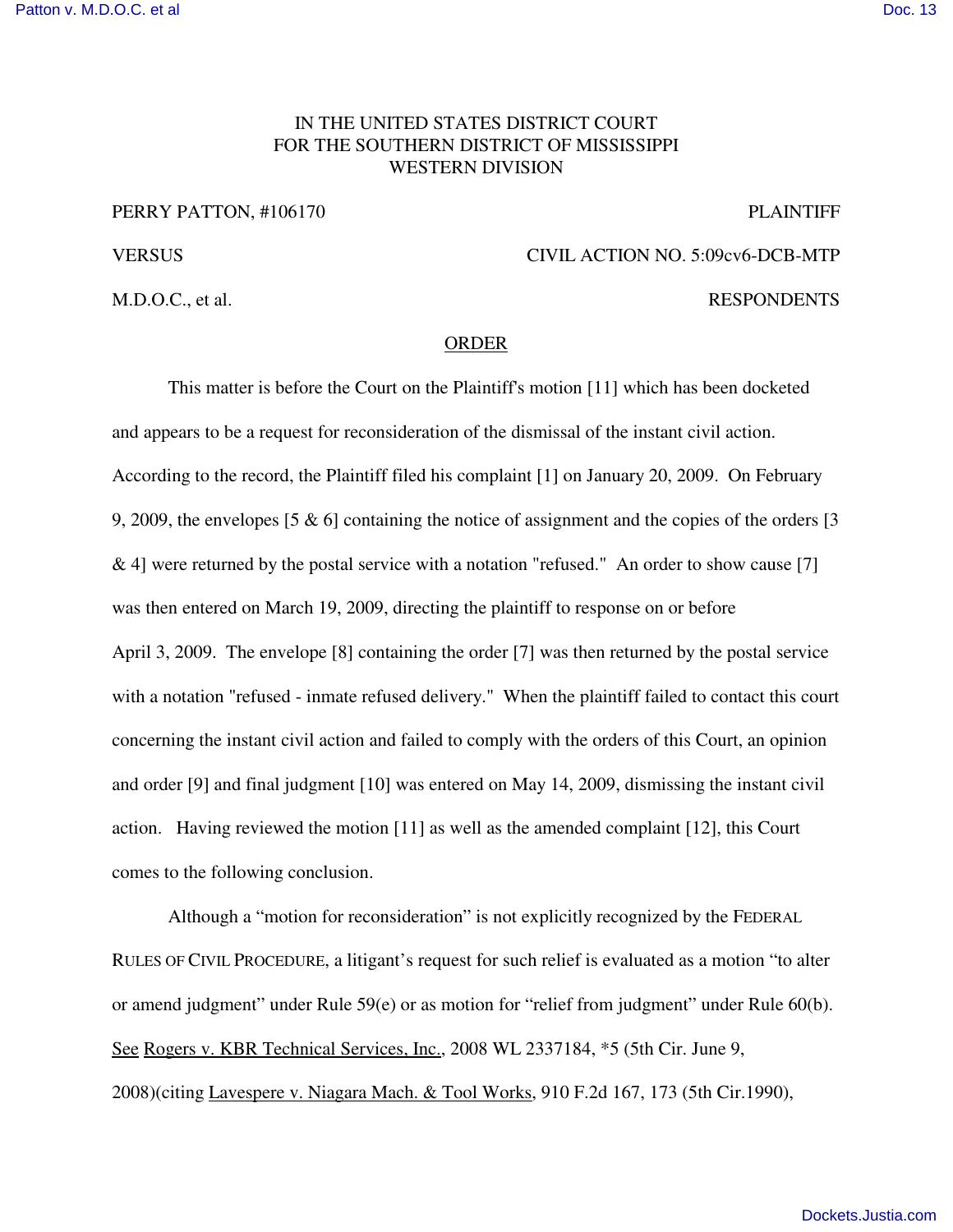## IN THE UNITED STATES DISTRICT COURT FOR THE SOUTHERN DISTRICT OF MISSISSIPPI WESTERN DIVISION

## PERRY PATTON, #106170 PLAINTIFF

M.D.O.C., et al. RESPONDENTS

## VERSUS CIVIL ACTION NO. 5:09cv6-DCB-MTP

## ORDER

This matter is before the Court on the Plaintiff's motion [11] which has been docketed and appears to be a request for reconsideration of the dismissal of the instant civil action. According to the record, the Plaintiff filed his complaint [1] on January 20, 2009. On February 9, 2009, the envelopes [5 & 6] containing the notice of assignment and the copies of the orders [3 & 4] were returned by the postal service with a notation "refused." An order to show cause [7] was then entered on March 19, 2009, directing the plaintiff to response on or before April 3, 2009. The envelope [8] containing the order [7] was then returned by the postal service with a notation "refused - inmate refused delivery." When the plaintiff failed to contact this court concerning the instant civil action and failed to comply with the orders of this Court, an opinion and order [9] and final judgment [10] was entered on May 14, 2009, dismissing the instant civil action. Having reviewed the motion [11] as well as the amended complaint [12], this Court comes to the following conclusion.

Although a "motion for reconsideration" is not explicitly recognized by the FEDERAL RULES OF CIVIL PROCEDURE, a litigant's request for such relief is evaluated as a motion "to alter or amend judgment" under Rule 59(e) or as motion for "relief from judgment" under Rule 60(b). See Rogers v. KBR Technical Services, Inc., 2008 WL 2337184, \*5 (5th Cir. June 9, 2008)(citing Lavespere v. Niagara Mach. & Tool Works, 910 F.2d 167, 173 (5th Cir.1990),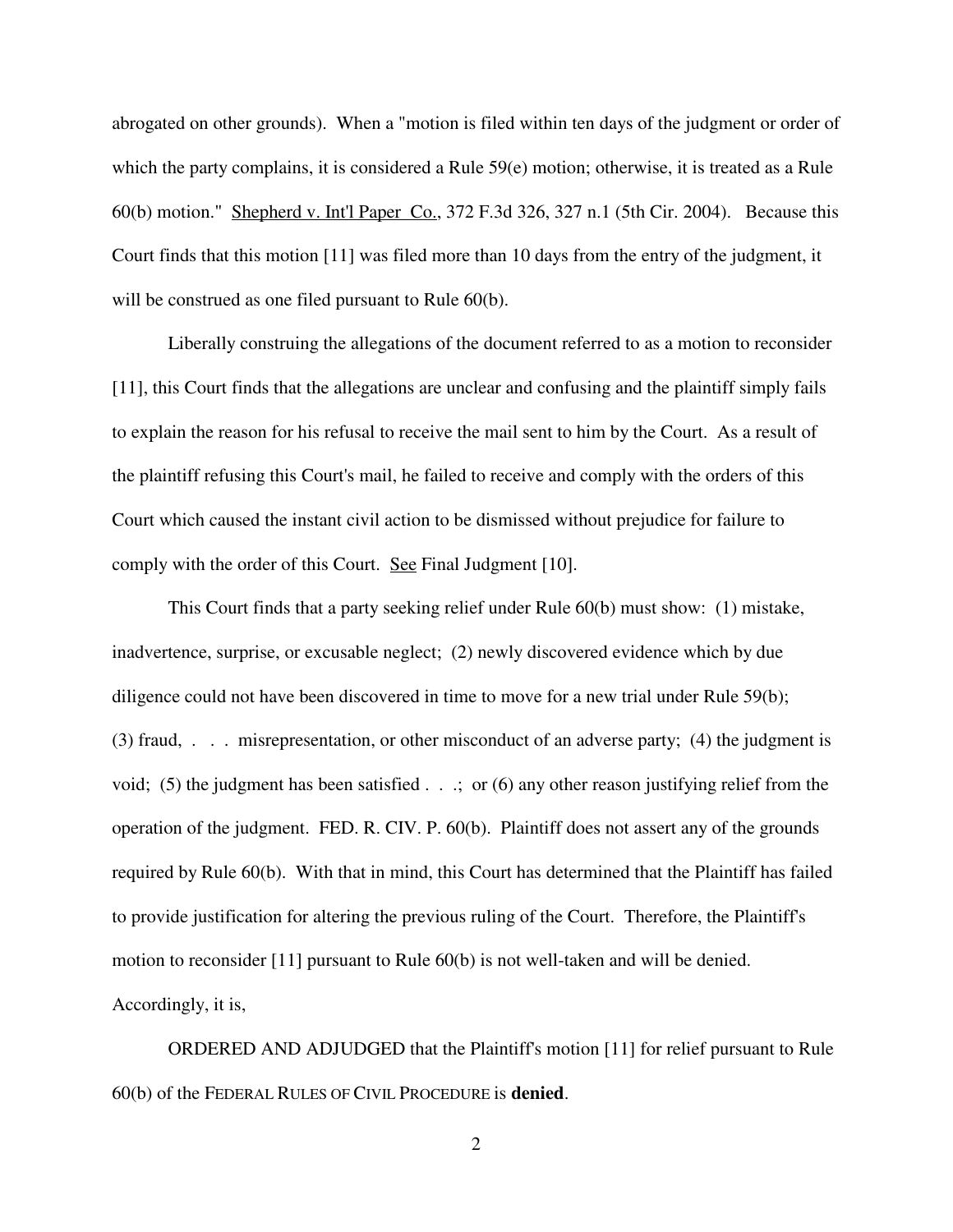abrogated on other grounds). When a "motion is filed within ten days of the judgment or order of which the party complains, it is considered a Rule 59(e) motion; otherwise, it is treated as a Rule 60(b) motion." Shepherd v. Int'l Paper Co., 372 F.3d 326, 327 n.1 (5th Cir. 2004). Because this Court finds that this motion [11] was filed more than 10 days from the entry of the judgment, it will be construed as one filed pursuant to Rule 60(b).

Liberally construing the allegations of the document referred to as a motion to reconsider [11], this Court finds that the allegations are unclear and confusing and the plaintiff simply fails to explain the reason for his refusal to receive the mail sent to him by the Court. As a result of the plaintiff refusing this Court's mail, he failed to receive and comply with the orders of this Court which caused the instant civil action to be dismissed without prejudice for failure to comply with the order of this Court. See Final Judgment [10].

This Court finds that a party seeking relief under Rule 60(b) must show: (1) mistake, inadvertence, surprise, or excusable neglect; (2) newly discovered evidence which by due diligence could not have been discovered in time to move for a new trial under Rule 59(b); (3) fraud, . . . misrepresentation, or other misconduct of an adverse party; (4) the judgment is void; (5) the judgment has been satisfied . . .; or (6) any other reason justifying relief from the operation of the judgment. FED. R. CIV. P. 60(b). Plaintiff does not assert any of the grounds required by Rule 60(b). With that in mind, this Court has determined that the Plaintiff has failed to provide justification for altering the previous ruling of the Court. Therefore, the Plaintiff's motion to reconsider [11] pursuant to Rule 60(b) is not well-taken and will be denied. Accordingly, it is,

ORDERED AND ADJUDGED that the Plaintiff's motion [11] for relief pursuant to Rule 60(b) of the FEDERAL RULES OF CIVIL PROCEDURE is **denied**.

2